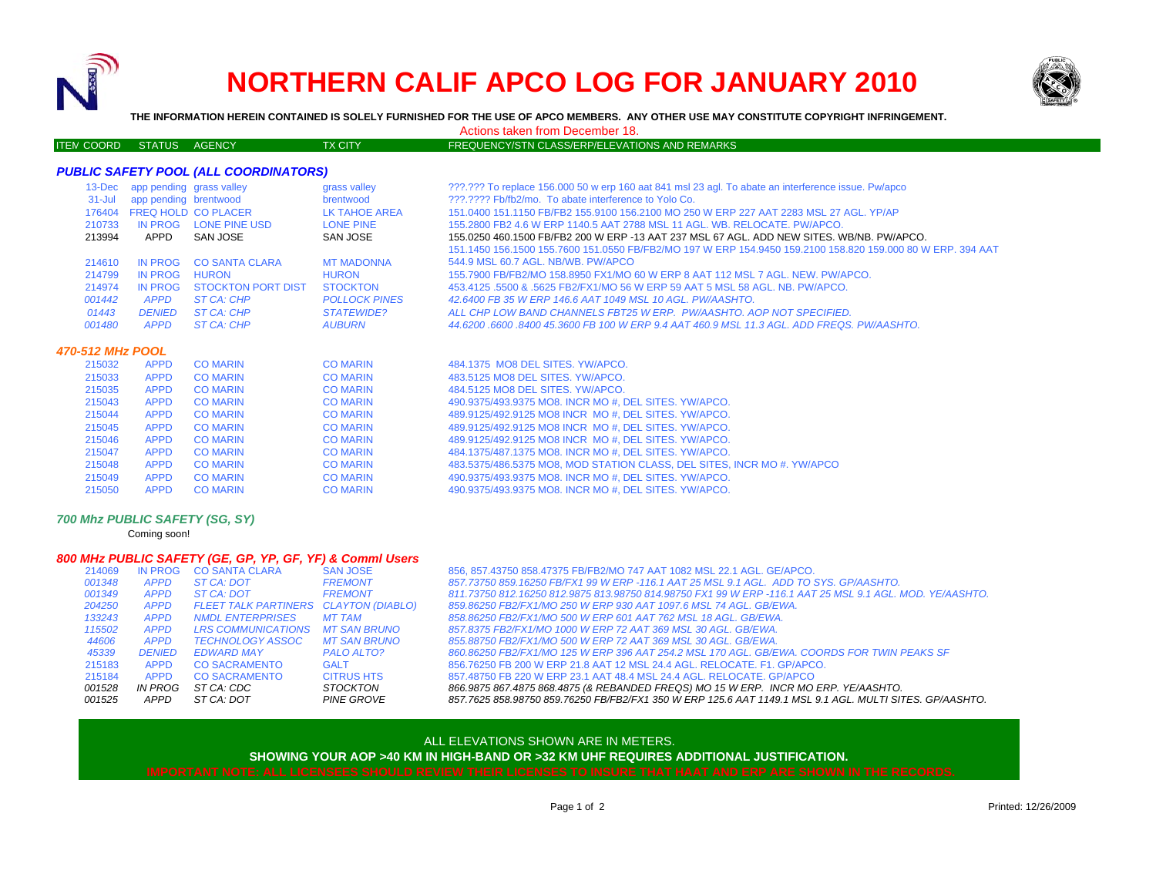

# **NORTHERN CALIF APCO LOG FOR JANUARY 2010**



**THE INFORMATION HEREIN CONTAINED IS SOLELY FURNISHED FOR THE USE OF APCO MEMBERS. ANY OTHER USE MAY CONSTITUTE COPYRIGHT INFRINGEMENT.**

Actions taken from December 18.

#### ITEM COORD STATUS AGENCY TX CITY FREQUENCY/STN CLASS/ERP/ELEVATIONS AND REMARKS

## *PUBLIC SAFETY POOL (ALL COORDINATORS)*

| $13$ -Dec  | app pending grass valley |                            | grass valley         | ???.??? To replace 156,000 50 w erp 160 aat 841 msl 23 agl. To abate an interference issue. Pw/apco         |
|------------|--------------------------|----------------------------|----------------------|-------------------------------------------------------------------------------------------------------------|
| $31 -$ Jul | app pending brentwood    |                            | brentwood            | 222.2222 Fb/fb2/mo. To abate interference to Yolo Co.                                                       |
| 176404     |                          | <b>FREQ HOLD CO PLACER</b> | LK TAHOE AREA        | 151.0400 151.1150 FB/FB2 155.9100 156.2100 MO 250 W ERP 227 AAT 2283 MSL 27 AGL. YP/AP                      |
| 210733     | IN PROG                  | LONE PINE USD              | <b>LONE PINE</b>     | 155.2800 FB2 4.6 W ERP 1140.5 AAT 2788 MSL 11 AGL. WB. RELOCATE. PW/APCO.                                   |
| 213994     | APPD                     | SAN JOSE                   | SAN JOSE             | 155,0250 460,1500 FB/FB2 200 W ERP -13 AAT 237 MSL 67 AGL, ADD NEW SITES, WB/NB, PW/APCO,                   |
|            |                          |                            |                      | 151.1450 156.1500 155.7600 151.0550 FB/FB2/MO 197 W ERP 154.9450 159.2100 158.820 159.000 80 W ERP. 394 AAT |
| 214610     | IN PROG                  | <b>CO SANTA CLARA</b>      | <b>MT MADONNA</b>    | 544.9 MSL 60.7 AGL, NB/WB, PW/APCO                                                                          |
| 214799     | IN PROG                  | <b>HURON</b>               | <b>HURON</b>         | 155,7900 FB/FB2/MO 158,8950 FX1/MO 60 W ERP 8 AAT 112 MSL 7 AGL, NEW, PW/APCO,                              |
| 214974     | IN PROG                  | STOCKTON PORT DIST         | <b>STOCKTON</b>      | 453,4125,5500 & 5625 FB2/FX1/MO 56 W ERP 59 AAT 5 MSL 58 AGL, NB, PW/APCO,                                  |
| 001442     | APPD                     | ST CA: CHP                 | <b>POLLOCK PINES</b> | 42.6400 FB 35 W ERP 146.6 AAT 1049 MSL 10 AGL, PW/AASHTO,                                                   |
| 01443      | <b>DENIED</b>            | ST CA: CHP                 | <i>STATEWIDE?</i>    | ALL CHP LOW BAND CHANNELS FBT25 W ERP. PW/AASHTO, AOP NOT SPECIFIED.                                        |
| 001480     | <b>APPD</b>              | ST CA: CHP                 | <b>AUBURN</b>        | 44.6200,6600,8400,45.3600 FB 100 W ERP 9.4 AAT 460.9 MSL 11.3 AGL, ADD FREQS, PW/AASHTO,                    |
|            | 470-512 MHz POOL         |                            |                      |                                                                                                             |
| 215032     | <b>APPD</b>              | <b>CO MARIN</b>            | <b>CO MARIN</b>      | 484.1375 MO8 DEL SITES, YW/APCO.                                                                            |
| 215033     | <b>APPD</b>              | <b>CO MARIN</b>            | <b>CO MARIN</b>      | 483.5125 MO8 DEL SITES, YW/APCO.                                                                            |
| 215035     | <b>APPD</b>              | <b>CO MARIN</b>            | <b>CO MARIN</b>      | 484.5125 MO8 DEL SITES, YW/APCO.                                                                            |
| 215043     | <b>APPD</b>              | <b>CO MARIN</b>            | <b>CO MARIN</b>      | 490.9375/493.9375 MO8. INCR MO #, DEL SITES. YW/APCO.                                                       |
| 215044     | <b>APPD</b>              | <b>CO MARIN</b>            | <b>CO MARIN</b>      | 489.9125/492.9125 MO8 INCR MO #. DEL SITES. YW/APCO.                                                        |
| 215045     | <b>APPD</b>              | <b>CO MARIN</b>            | <b>CO MARIN</b>      | 489.9125/492.9125 MO8 INCR MO #, DEL SITES. YW/APCO.                                                        |
| 215046     | <b>APPD</b>              | <b>CO MARIN</b>            | <b>CO MARIN</b>      | 489.9125/492.9125 MO8 INCR MO #, DEL SITES. YW/APCO.                                                        |
| 215047     | <b>APPD</b>              | CO MARIN                   | CO MARIN             | 484 1375/487 1375 MO8 INCR MO # DEL SITES YW/APCO                                                           |

| 215047 | APPD COMARIN | <b>CO MARIN</b> | 484.1375/487.1375 MO8. INCR MO #, DEL SITES. YW/APCO.                   |
|--------|--------------|-----------------|-------------------------------------------------------------------------|
| 215048 | APPD COMARIN | <b>CO MARIN</b> | 483.5375/486.5375 MO8, MOD STATION CLASS, DEL SITES, INCR MO #. YW/APCO |

- 215049 APPD CO MARIN CO MARIN 490.9375/493.9375 MO8. INCR MO #, DEL SITES. YW/APCO.
- 215050 APPD CO MARIN CO MARIN 490.9375/493.9375 MO8. INCR MO #, DEL SITES. YW/APCO.

# *700 Mhz PUBLIC SAFETY (SG, SY)*

Coming soon!

## *800 MHz PUBLIC SAFETY (GE, GP, YP, GF, YF) & Comml Users*

|        |             |                                       | ______________    |                                                                                                          |
|--------|-------------|---------------------------------------|-------------------|----------------------------------------------------------------------------------------------------------|
| 214069 |             | IN PROG CO SANTA CLARA                | <b>SAN JOSE</b>   | 856, 857.43750 858.47375 FB/FB2/MO 747 AAT 1082 MSL 22.1 AGL. GE/APCO.                                   |
| 001348 | APPD        | ST CA: DOT                            | <b>FREMONT</b>    | 857.73750 859.16250 FB/FX1 99 W ERP -116.1 AAT 25 MSL 9.1 AGL. ADD TO SYS. GP/AASHTO.                    |
| 001349 | APPD        | ST CA: DOT                            | <b>FREMONT</b>    | 811.73750 812.16250 812.9875 813.98750 814.98750 FX1 99 W ERP -116.1 AAT 25 MSL 9.1 AGL, MOD, YE/AASHTO, |
| 204250 | APPD        | FLEET TALK PARTINERS CLAYTON (DIABLO) |                   | 859.86250 FB2/FX1/MO 250 W ERP 930 AAT 1097.6 MSL 74 AGL. GB/EWA.                                        |
| 133243 | <b>APPD</b> | <b>NMDL ENTERPRISES</b>               | MT TAM            | 858.86250 FB2/FX1/MO 500 W ERP 601 AAT 762 MSL 18 AGL, GB/EWA.                                           |
| 115502 | <b>APPD</b> | LRS COMMUNICATIONS MT SAN BRUNO       |                   | 857.8375 FB2/FX1/MO 1000 W ERP 72 AAT 369 MSL 30 AGL, GB/EWA.                                            |
| 44606  | <b>APPD</b> | TECHNOLOGY ASSOC                      | MT SAN BRUNO      | 855.88750 FB2/FX1/MO 500 W ERP 72 AAT 369 MSL 30 AGL, GB/EWA.                                            |
| 45339  | DENIED      | EDWARD MAY                            | PALO ALTO?        | 860.86250 FB2/FX1/MO 125 W ERP 396 AAT 254.2 MSL 170 AGL. GB/EWA. COORDS FOR TWIN PEAKS SF               |
| 215183 | <b>APPD</b> | <b>CO SACRAMENTO</b>                  | <b>GALT</b>       | 856.76250 FB 200 W ERP 21.8 AAT 12 MSL 24.4 AGL, RELOCATE, F1, GP/APCO,                                  |
| 215184 | <b>APPD</b> | <b>CO SACRAMENTO</b>                  | <b>CITRUS HTS</b> | 857.48750 FB 220 W ERP 23.1 AAT 48.4 MSL 24.4 AGL. RELOCATE. GP/APCO                                     |
| 001528 | IN PROG     | ST CA: CDC                            | STOCKTON          | 866.9875 867.4875 868.4875 (& REBANDED FREQS) MO 15 W ERP. INCR MO ERP. YE/AASHTO.                       |
| 001525 | APPD        | ST CA: DOT                            | PINE GROVE        | 857.7625 858.98750 859.76250 FB/FB2/FX1 350 W ERP 125.6 AAT 1149.1 MSL 9.1 AGL. MULTI SITES. GP/AASHTO.  |
|        |             |                                       |                   |                                                                                                          |

### ALL ELEVATIONS SHOWN ARE IN METERS.

**SHOWING YOUR AOP >40 KM IN HIGH-BAND OR >32 KM UHF REQUIRES ADDITIONAL JUSTIFICATION.**